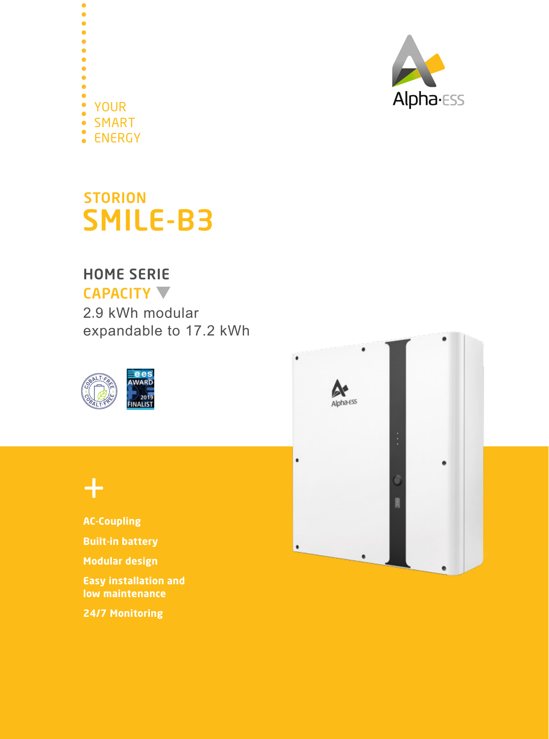



## **STORION** SMILE-B3

## HOME SERIE

## CAPACITY  $\nabla$

2.9 kWh modular expandable to 17.2 kWh







**AC-Coupling Built-in battery Modular design Easy installation and low maintenance**

**24/7 Monitoring**